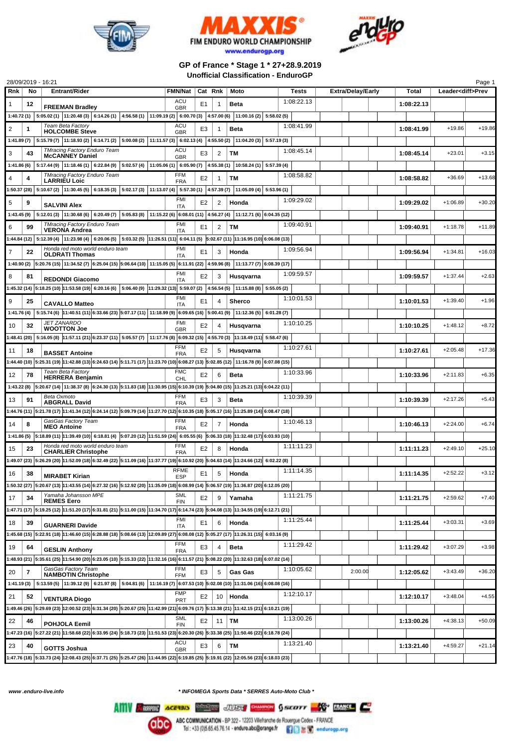





## **GP of France \* Stage 1 \* 27+28.9.2019 Unofficial Classification - EnduroGP**

|     |                | 28/09/2019 - 16:21                                                                                                                                                                                     |                           |                |    |                        |            |                          |            |                          | Page 1   |
|-----|----------------|--------------------------------------------------------------------------------------------------------------------------------------------------------------------------------------------------------|---------------------------|----------------|----|------------------------|------------|--------------------------|------------|--------------------------|----------|
| Rnk | No             | <b>Entrant/Rider</b>                                                                                                                                                                                   | <b>FMN/Nat</b>            | Cat Rnk        |    | Moto                   | Tests      | <b>Extra/Delay/Early</b> | Total      | Leader <diff>Prev</diff> |          |
| 1   | 12             |                                                                                                                                                                                                        | ACU                       | E1             | 1  | Beta                   | 1:08:22.13 |                          | 1:08:22.13 |                          |          |
|     |                | <b>FREEMAN Bradley</b><br>1:40.72 (1) $ 5:05.02$ (1) $ 11:20.48$ (3) $ 6:14.26$ (1) $ 4:56.58$ (1) $ 11:09.19$ (2) $ 6:00.70$ (3) $ 4:57.00$ (6) $ 11:00.16$ (2) $ 5:58.02$ (5)                        | <b>GBR</b>                |                |    |                        |            |                          |            |                          |          |
|     |                |                                                                                                                                                                                                        | ACU                       |                |    |                        |            |                          |            |                          |          |
| 2   | 1              | Team Beta Factory<br><b>HOLCOMBE Steve</b>                                                                                                                                                             | <b>GBR</b>                | E3             | 1  | <b>Beta</b>            | 1:08:41.99 |                          | 1:08:41.99 | $+19.86$                 | $+19.86$ |
|     |                | 1:41.89 (7) $  5:15.79 (7)   11:18.93 (2)   6:14.71 (2)   5:00.08 (2)   11:11.57 (3)   6:02.13 (4)   4:55.50 (2)$                                                                                      |                           |                |    | 11:04.20(3) 5:57.19(3) |            |                          |            |                          |          |
| 3   | 43             | <b>TMracing Factory Enduro Team</b>                                                                                                                                                                    | ACU                       | E3             | 2  | TМ                     | 1:08:45.14 |                          | 1:08:45.14 | $+23.01$                 | $+3.15$  |
|     |                | <b>McCANNEY Daniel</b>                                                                                                                                                                                 | <b>GBR</b>                |                |    |                        |            |                          |            |                          |          |
|     |                | 1:41.86 (6) $\mid$ 5:17.44 (9) $\mid$ 11:18.46 (1) $\mid$ 6:22.84 (9) $\mid$ 5:02.57 (4) $\mid$ 11:05.06 (1) $\mid$ 6:05.90 (7) $\mid$ 4:55.38 (1) $\mid$ 10:58.24 (1) $\mid$ 5:57.39 (4)              |                           |                |    |                        |            |                          |            |                          |          |
| 4   | 4              | <b>TMracing Factory Enduro Team</b><br><b>LARRIEU Loic</b>                                                                                                                                             | <b>FFM</b><br><b>FRA</b>  | E2             | 1  | TМ                     | 1:08:58.82 |                          | 1:08:58.82 | $+36.69$                 | $+13.68$ |
|     |                | $\left  1:50.37(28) \right  5:10.67(2)$ $\left  11:30.45(5) \right  6:18.35(3)$ $\left  5:02.17(3) \right  11:13.07(4)$ $\left  5:57.30(1) \right  4:57.39(7)$ $\left  11:05.09(4) \right  5:53.96(1)$ |                           |                |    |                        |            |                          |            |                          |          |
| 5   | 9              |                                                                                                                                                                                                        | FMI                       | E2             | 2  | Honda                  | 1:09:29.02 |                          | 1:09:29.02 | $+1:06.89$               | $+30.20$ |
|     |                | <b>SALVINI Alex</b>                                                                                                                                                                                    | ITA                       |                |    |                        |            |                          |            |                          |          |
|     |                | 1:43.45 (9) $\mid$ 5:12.01 (3) $\mid$ 11:30.68 (6) $\mid$ 6:20.49 (7) $\mid$ 5:05.83 (8) $\mid$ 11:15.22 (6) $\mid$ 6:08.01 (11) $\mid$ 4:56.27 (4) $\mid$ 11:12.71 (6) $\mid$ 6:04.35 (12)            |                           |                |    |                        |            |                          |            |                          |          |
| 6   | 99             | <b>TMracing Factory Enduro Team</b><br><b>VERONA Andrea</b>                                                                                                                                            | <b>FMI</b><br><b>ITA</b>  | E1             | 2  | TМ                     | 1:09:40.91 |                          | 1:09:40.91 | $+1:18.78$               | $+11.89$ |
|     |                | $1:44.84$ (12) $5:12.39$ (4) $11:23.98$ (4) $6:20.06$ (5) $5:03.32$ (5) $11:26.51$ (11) $6:04.11$ (5) $5:02.67$ (11) $11:16.95$ (10) $6:06.08$ (13)                                                    |                           |                |    |                        |            |                          |            |                          |          |
| 7   | 22             | Honda red moto world enduro team                                                                                                                                                                       | FMI                       | E1             | 3  | Honda                  | 1:09:56.94 |                          | 1:09:56.94 | $+1:34.81$               | $+16.03$ |
|     |                | <b>OLDRATI Thomas</b>                                                                                                                                                                                  | <b>ITA</b>                |                |    |                        |            |                          |            |                          |          |
|     |                | 1:40.90 (2) 5:20.76 (15) 11:34.52 (7) 6:25.04 (15) 5:06.64 (10) 11:15.05 (5) 6:11.91 (22) 4:59.96 (8) 11:13.77 (7) 6:08.39 (17)                                                                        |                           |                |    |                        |            |                          |            |                          |          |
| 8   | 81             | <b>REDONDI Giacomo</b>                                                                                                                                                                                 | FMI<br>ITA                | E2             | 3  | Husqvarna              | 1:09:59.57 |                          | 1:09:59.57 | $+1:37.44$               | $+2.63$  |
|     |                | $1:45.32$ (14) $5:18.25$ (10) $11:53.58$ (19) $6:20.16$ (6) $ 5:06.40$ (9) $ 11:29.32$ (13) $5:59.07$ (2) $ 4:56.54$ (5) $ 11:15.88$ (8) $ 5:55.05$ (2)                                                |                           |                |    |                        |            |                          |            |                          |          |
| 9   |                |                                                                                                                                                                                                        | FMI                       | E <sub>1</sub> | 4  |                        | 1:10:01.53 |                          |            | $+1:39.40$               | $+1.96$  |
|     | 25             | <b>CAVALLO Matteo</b>                                                                                                                                                                                  | <b>ITA</b>                |                |    | <b>Sherco</b>          |            |                          | 1:10:01.53 |                          |          |
|     |                | 1:41.76 (4) 5:15.74 (6) 11:40.51 (11) 6:33.66 (23) 5:07.17 (11) 11:18.99 (9) 6:09.65 (16) 5:00.41 (9) 11:12.36 (5) 6:01.28 (7)                                                                         |                           |                |    |                        |            |                          |            |                          |          |
| 10  | 32             | <b>JET ZANARDO</b><br><b>WOOTTON Joe</b>                                                                                                                                                               | FMI<br><b>GBR</b>         | E <sub>2</sub> | 4  | Husqvarna              | 1:10:10.25 |                          | 1:10:10.25 | $+1:48.12$               | $+8.72$  |
|     |                | 1:48.41 (20) 5:16.05 (8) 11:57.11 (21) 6:23.37 (11) 5:05.57 (7) 11:17.76 (8) 6:09.32 (15) 4:55.70 (3) 11:18.49 (11) 5:58.47 (6)                                                                        |                           |                |    |                        |            |                          |            |                          |          |
| 11  |                |                                                                                                                                                                                                        | <b>FFM</b>                | E2             |    |                        | 1:10:27.61 |                          | 1:10:27.61 | $+2:05.48$               | $+17.36$ |
|     | 18             | <b>BASSET Antoine</b>                                                                                                                                                                                  | <b>FRA</b>                |                | 5  | Husqvarna              |            |                          |            |                          |          |
|     |                | i:44.40 (10)  5:25.31 (19)  11:42.88 (13)  6:24.63 (14)  5:11.71 (17)  11:23.70 (10)  6:08.27 (13)  5:02.85 (12)   11:16.78 (9)  6:07.08 (15)                                                          |                           |                |    |                        |            |                          |            |                          |          |
| 12  | 78             | Team Beta Factory<br><b>HERRERA Benjamin</b>                                                                                                                                                           | <b>FMC</b><br><b>CHL</b>  | E <sub>2</sub> | 6  | <b>Beta</b>            | 1:10:33.96 |                          | 1:10:33.96 | $+2:11.83$               | $+6.35$  |
|     |                | 1:43.22 (8) 5:20.67 (14) 11:38.37 (8) 6:24.30 (13) 5:11.83 (18) 11:30.95 (15) 6:10.39 (19) 5:04.80 (15) 11:25.21 (13) 6:04.22 (11)                                                                     |                           |                |    |                        |            |                          |            |                          |          |
|     | 91             | Beta Oxmoto                                                                                                                                                                                            | <b>FFM</b>                | E3             | 3  | <b>Beta</b>            | 1:10:39.39 |                          | 1:10:39.39 | $+2:17.26$               | $+5.43$  |
| 13  |                | <b>ABGRALL David</b>                                                                                                                                                                                   | <b>FRA</b>                |                |    |                        |            |                          |            |                          |          |
|     |                | 128.89 (14) 5:21.78 (17) 11:41.34 (12) 6:24.14 (12) 5:09.79 (14) 11:27.70 (12) 6:10.35 (18) 5:05.17 (16) 11:25.89 (14) 6:08.47 (18)                                                                    |                           |                |    |                        |            |                          |            |                          |          |
| 14  | 8              | GasGas Factory Team<br><b>MEO Antoine</b>                                                                                                                                                              | <b>FFM</b><br><b>FRA</b>  | E2             | 7  | Honda                  | 1:10:46.13 |                          | 1:10:46.13 | $+2:24.00$               | $+6.74$  |
|     |                | 1:41.86 (5) 5:18.89 (11) 11:39.49 (10) 6:18.81 (4) 5:07.20 (12) 11:51.59 (24) 6:05.55 (6) 5:06.33 (18) 11:32.48 (17) 6:03.93 (10)                                                                      |                           |                |    |                        |            |                          |            |                          |          |
|     |                | Honda red moto world enduro team                                                                                                                                                                       | FFM                       |                |    |                        | 1:11:11.23 |                          |            |                          |          |
| 15  | 23             | <b>CHARLIER Christophe</b>                                                                                                                                                                             | <b>FRA</b>                | E2             | 8  | Honda                  |            |                          | 1:11:11.23 | $+2:49.10$               | $+25.10$ |
|     |                | 8:32.02 (20) 11:24.66 (12) 11:24.66 (12) 5:32.49 (22) 5:11.09 (16) 11:37.77 (19) 6:10.92 (20) 5:04.63 (14) 11:24.66 (12) 6:02.22 (8) 11:32.09 (12) 1:52.09 (18) 5:02.22 (8)                            |                           |                |    |                        |            |                          |            |                          |          |
| 16  | 38             | <b>MIRABET Kirian</b>                                                                                                                                                                                  | <b>RFME</b><br><b>ESP</b> | E1             | 5  | Honda                  | 1:11:14.35 |                          | 1:11:14.35 | $+2:52.22$               | $+3.12$  |
|     |                | 1:50.32 (27) 5:20.67 (13) 11:43.55 (14) 6:27.32 (16) 5:12.92 (20) 11:35.09 (18) 6:08.99 (14) 5:06.57 (19) 11:36.87 (20) 6:12.05 (20)                                                                   |                           |                |    |                        |            |                          |            |                          |          |
|     |                | Yamaha Johansson MPE                                                                                                                                                                                   | <b>SML</b>                |                |    |                        | 1:11:21.75 |                          |            |                          |          |
| 17  | 34             | <b>REMES Eero</b>                                                                                                                                                                                      | <b>FIN</b>                | E <sub>2</sub> | 9  | Yamaha                 |            |                          | 1:11:21.75 | $+2:59.62$               | $+7.40$  |
|     |                | 1271 (17) 5:19.25 (12) 11:51.20 (17) 6:31.81 (21) 5:11.00 (15) 11:34.70 (17) 6:14.74 (23) 5:04.08 (13) 11:34.55 (19) 6:12.71 (21)                                                                      |                           |                |    |                        |            |                          |            |                          |          |
| 18  | 39             | <b>GUARNERI Davide</b>                                                                                                                                                                                 | FMI<br><b>ITA</b>         | E1             | 6  | Honda                  | 1:11:25.44 |                          | 1:11:25.44 | $+3:03.31$               | $+3.69$  |
|     |                | 1:45.68 (15) 5:22.91 (18) 11:46.60 (15) 6:28.88 (18) 5:08.66 (13) 12:09.89 (27) 6:08.08 (12) 5:05.27 (17) 11:26.31 (15) 6:03.16 (9)                                                                    |                           |                |    |                        |            |                          |            |                          |          |
|     |                |                                                                                                                                                                                                        | <b>FFM</b>                |                |    |                        | 1:11:29.42 |                          |            |                          | $+3.98$  |
| 19  | 64             | <b>GESLIN Anthony</b>                                                                                                                                                                                  | <b>FRA</b>                | E3             | 4  | <b>Beta</b>            |            |                          | 1:11:29.42 | $+3:07.29$               |          |
|     |                | 1:48.93 (21) 5:35.61 (25) 11:54.90 (20) 6:23.05 (10) 5:15.33 (22) 11:32.16 (16) 6:11.57 (21) 5:08.22 (20) 11:32.63 (18) 6:07.02 (14)                                                                   |                           |                |    |                        |            |                          |            |                          |          |
| 20  | $\overline{7}$ | GasGas Factory Team<br><b>NAMBOTIN Christophe</b>                                                                                                                                                      | <b>FFM</b><br><b>FFM</b>  | E3             | 5  | Gas Gas                | 1:10:05.62 | 2:00.00                  | 1:12:05.62 | $+3:43.49$               | $+36.20$ |
|     |                | 11.41.19 (3) $\left 5:13.59(5)\right $ 11:39.12 (9) $\left 6:21.97(8)\right $ 5:04.81 (6) $\left 11:16.19(7)\right $ 6:07.53 (10) 5:02.08 (10) 11:31.06 (16) 6:08.08 (16)                              |                           |                |    |                        |            |                          |            |                          |          |
| 21  |                |                                                                                                                                                                                                        | <b>FMP</b>                | E <sub>2</sub> | 10 | Honda                  | 1:12:10.17 |                          | 1:12:10.17 | $+3:48.04$               | $+4.55$  |
|     | 52             | <b>VENTURA Diogo</b>                                                                                                                                                                                   | <b>PRT</b>                |                |    |                        |            |                          |            |                          |          |
|     |                | 1:49.46 (26) 5:29.69 (23) 12:00.52 (23) 6:31.34 (20) 5:20.67 (25) 11:42.99 (21) 6:09.76 (17) 5:13.38 (21) 11:42.15 (21) 6:10.21 (19)                                                                   |                           |                |    |                        |            |                          |            |                          |          |
| 22  | 46             | POHJOLA Eemil                                                                                                                                                                                          | <b>SML</b><br><b>FIN</b>  | E2             | 11 | TM                     | 1:13:00.26 |                          | 1:13:00.26 | $+4:38.13$               | $+50.09$ |
|     |                | 1:47.23 (16) 5:27.22 (21) 11:58.68 (22) 6:33.95 (24) 5:18.73 (23) 11:51.53 (23) 6:20.30 (26) 5:33.38 (25) 11:50.46 (22) 6:18.78 (24)                                                                   |                           |                |    |                        |            |                          |            |                          |          |
| 23  | 40             |                                                                                                                                                                                                        | ACU                       | E3             | 6  | <b>TM</b>              | 1:13:21.40 |                          | 1:13:21.40 | $+4:59.27$               | $+21.14$ |
|     |                | <b>GOTTS Joshua</b>                                                                                                                                                                                    | <b>GBR</b>                |                |    |                        |            |                          |            |                          |          |
|     |                | 12:08.43 (25) 5:19.91 (25) 5:19.91 (25) 5:25.43 (25) 9:37.71 (25) 5:25.47 (26) 5:19.47 (28) 11:44.95 (22) 6:19.85 (25) 5:19.91 (22) 12:05.56 (23) 6:18.03 (23)                                         |                           |                |    |                        |            |                          |            |                          |          |

*www .enduro-live.info \* INFOMEGA Sports Data \* SERRES Auto-Moto Club \**

Alliv Commit Access Minimum JUST DANNON GALLOTT AND TRANSL

ABC COMMUNICATION - BP 322 - 12203 Villefranche de Rouergue Cedex - FRANCE<br>Tel : +33 (0)5.65.45.76.14 - enduro.abc@orange.fr  $\Box$   $\Box$   $\Box$   $\Box$  ondurregp.org **abc**